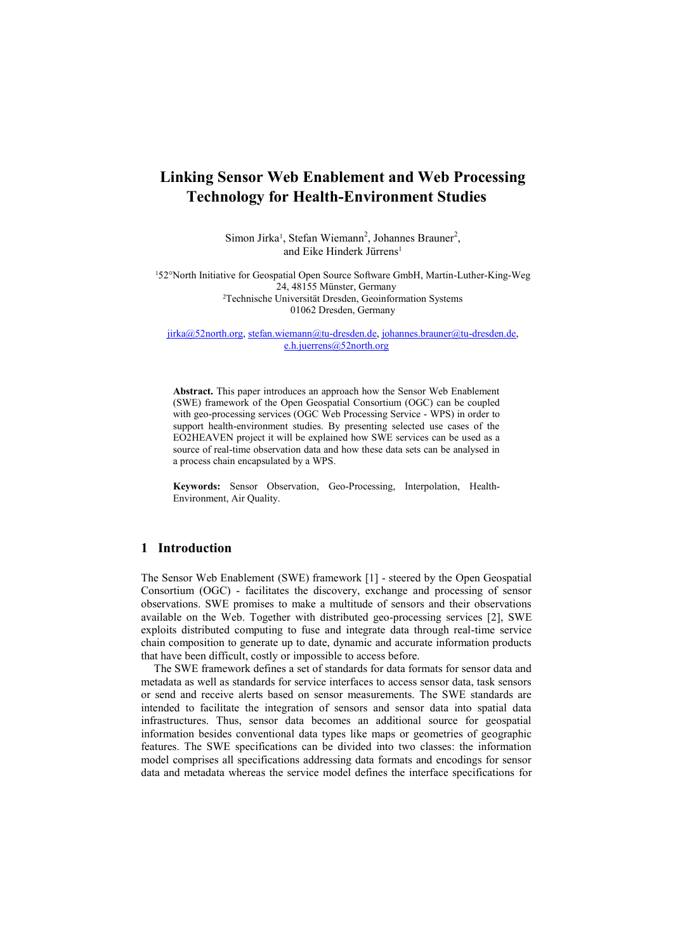# **Linking Sensor Web Enablement and Web Processing Technology for Health-Environment Studies**

Simon Jirka<sup>1</sup>, Stefan Wiemann<sup>2</sup>, Johannes Brauner<sup>2</sup>, and Eike Hinderk Jürrens<sup>1</sup>

52°North Initiative for Geospatial Open Source Software GmbH, Martin-Luther-King-Weg 24, 48155 Münster, Germany Technische Universität Dresden, Geoinformation Systems Dresden, Germany

 $j$ irka@52north.org, [stefan.wiemann@tu-dresden.de,](mailto:stefan.wiemann@tu-dresden.de) johannes.brauner@tu-dresden.de, [e.h.juerrens@52north.org](mailto:e.h.juerrens@52north.org)

**Abstract.** This paper introduces an approach how the Sensor Web Enablement (SWE) framework of the Open Geospatial Consortium (OGC) can be coupled with geo-processing services (OGC Web Processing Service - WPS) in order to support health-environment studies. By presenting selected use cases of the EO2HEAVEN project it will be explained how SWE services can be used as a source of real-time observation data and how these data sets can be analysed in a process chain encapsulated by a WPS.

**Keywords:** Sensor Observation, Geo-Processing, Interpolation, Health-Environment, Air Quality.

## **1 Introduction**

The Sensor Web Enablement (SWE) framework [1] - steered by the Open Geospatial Consortium (OGC) - facilitates the discovery, exchange and processing of sensor observations. SWE promises to make a multitude of sensors and their observations available on the Web. Together with distributed geo-processing services [2], SWE exploits distributed computing to fuse and integrate data through real-time service chain composition to generate up to date, dynamic and accurate information products that have been difficult, costly or impossible to access before.

The SWE framework defines a set of standards for data formats for sensor data and metadata as well as standards for service interfaces to access sensor data, task sensors or send and receive alerts based on sensor measurements. The SWE standards are intended to facilitate the integration of sensors and sensor data into spatial data infrastructures. Thus, sensor data becomes an additional source for geospatial information besides conventional data types like maps or geometries of geographic features. The SWE specifications can be divided into two classes: the information model comprises all specifications addressing data formats and encodings for sensor data and metadata whereas the service model defines the interface specifications for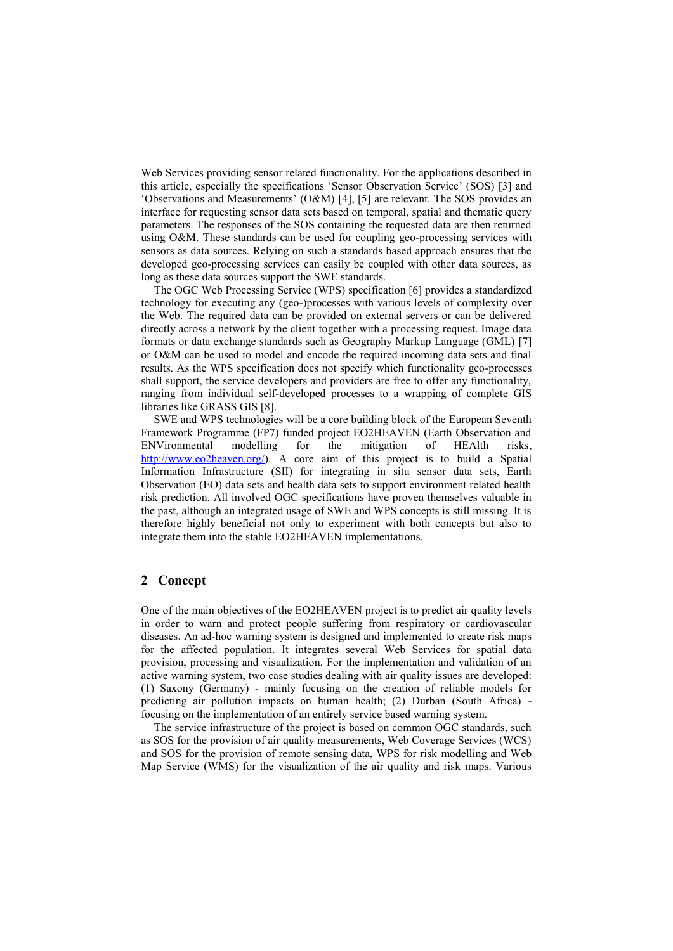Web Services providing sensor related functionality. For the applications described in this article, especially the specifications 'Sensor Observation Service' (SOS) [3] and 'Observations and Measurements' (O&M) [4], [5] are relevant. The SOS provides an interface for requesting sensor data sets based on temporal, spatial and thematic query parameters. The responses of the SOS containing the requested data are then returned using O&M. These standards can be used for coupling geo-processing services with sensors as data sources. Relying on such a standards based approach ensures that the developed geo-processing services can easily be coupled with other data sources, as long as these data sources support the SWE standards.

The OGC Web Processing Service (WPS) specification [6] provides a standardized technology for executing any (geo-)processes with various levels of complexity over the Web. The required data can be provided on external servers or can be delivered directly across a network by the client together with a processing request. Image data formats or data exchange standards such as Geography Markup Language (GML) [7] or O&M can be used to model and encode the required incoming data sets and final results. As the WPS specification does not specify which functionality geo-processes shall support, the service developers and providers are free to offer any functionality, ranging from individual self-developed processes to a wrapping of complete GIS libraries like GRASS GIS [8].

SWE and WPS technologies will be a core building block of the European Seventh Framework Programme (FP7) funded project EO2HEAVEN (Earth Observation and ENVironmental modelling for the mitigation of HEAlth risks, [http://www.eo2heaven.org/\)](http://www.eo2heaven.org/). A core aim of this project is to build a Spatial Information Infrastructure (SII) for integrating in situ sensor data sets, Earth Observation (EO) data sets and health data sets to support environment related health risk prediction. All involved OGC specifications have proven themselves valuable in the past, although an integrated usage of SWE and WPS concepts is still missing. It is therefore highly beneficial not only to experiment with both concepts but also to integrate them into the stable EO2HEAVEN implementations.

## **2 Concept**

One of the main objectives of the EO2HEAVEN project is to predict air quality levels in order to warn and protect people suffering from respiratory or cardiovascular diseases. An ad-hoc warning system is designed and implemented to create risk maps for the affected population. It integrates several Web Services for spatial data provision, processing and visualization. For the implementation and validation of an active warning system, two case studies dealing with air quality issues are developed: (1) Saxony (Germany) - mainly focusing on the creation of reliable models for predicting air pollution impacts on human health; (2) Durban (South Africa) focusing on the implementation of an entirely service based warning system.

The service infrastructure of the project is based on common OGC standards, such as SOS for the provision of air quality measurements, Web Coverage Services (WCS) and SOS for the provision of remote sensing data, WPS for risk modelling and Web Map Service (WMS) for the visualization of the air quality and risk maps. Various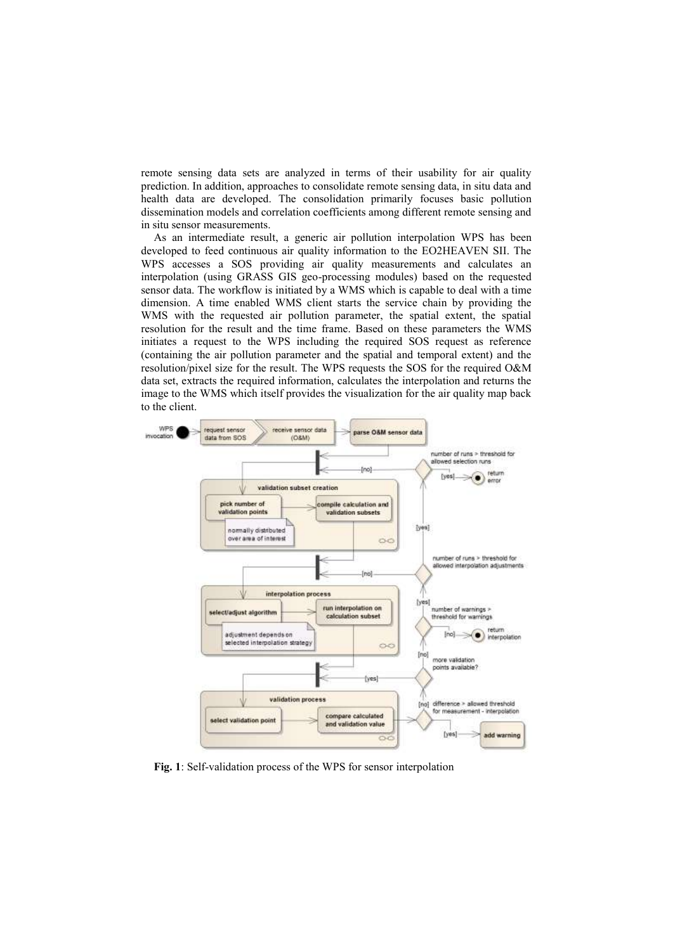remote sensing data sets are analyzed in terms of their usability for air quality prediction. In addition, approaches to consolidate remote sensing data, in situ data and health data are developed. The consolidation primarily focuses basic pollution dissemination models and correlation coefficients among different remote sensing and in situ sensor measurements.

As an intermediate result, a generic air pollution interpolation WPS has been developed to feed continuous air quality information to the EO2HEAVEN SII. The WPS accesses a SOS providing air quality measurements and calculates an interpolation (using GRASS GIS geo-processing modules) based on the requested sensor data. The workflow is initiated by a WMS which is capable to deal with a time dimension. A time enabled WMS client starts the service chain by providing the WMS with the requested air pollution parameter, the spatial extent, the spatial resolution for the result and the time frame. Based on these parameters the WMS initiates a request to the WPS including the required SOS request as reference (containing the air pollution parameter and the spatial and temporal extent) and the resolution/pixel size for the result. The WPS requests the SOS for the required O&M data set, extracts the required information, calculates the interpolation and returns the image to the WMS which itself provides the visualization for the air quality map back to the client.



**Fig. 1**: Self-validation process of the WPS for sensor interpolation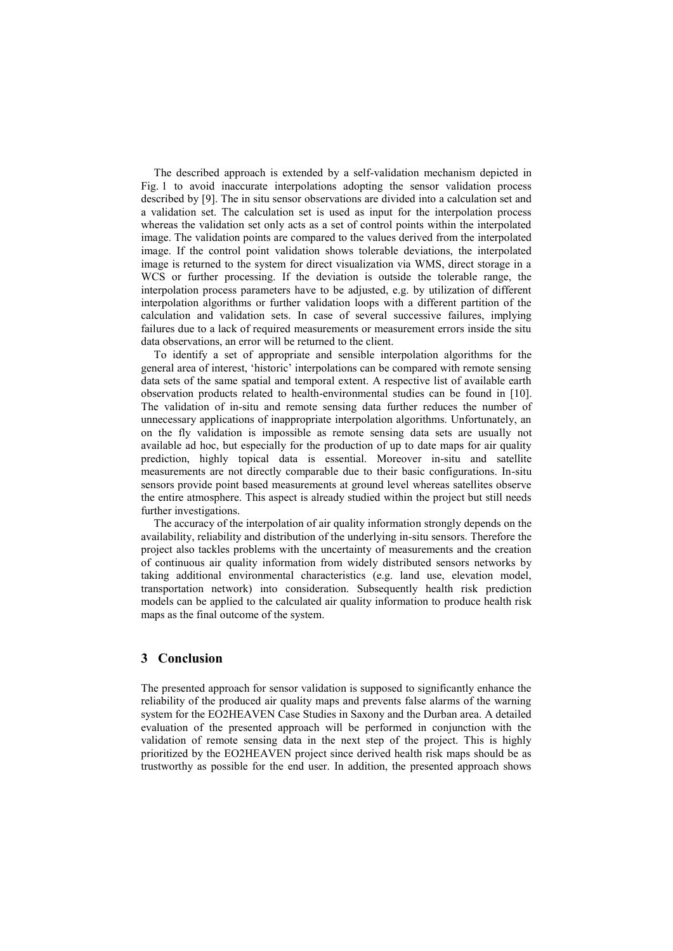The described approach is extended by a self-validation mechanism depicted in Fig. 1 to avoid inaccurate interpolations adopting the sensor validation process described by [9]. The in situ sensor observations are divided into a calculation set and a validation set. The calculation set is used as input for the interpolation process whereas the validation set only acts as a set of control points within the interpolated image. The validation points are compared to the values derived from the interpolated image. If the control point validation shows tolerable deviations, the interpolated image is returned to the system for direct visualization via WMS, direct storage in a WCS or further processing. If the deviation is outside the tolerable range, the interpolation process parameters have to be adjusted, e.g. by utilization of different interpolation algorithms or further validation loops with a different partition of the calculation and validation sets. In case of several successive failures, implying failures due to a lack of required measurements or measurement errors inside the situ data observations, an error will be returned to the client.

To identify a set of appropriate and sensible interpolation algorithms for the general area of interest, 'historic' interpolations can be compared with remote sensing data sets of the same spatial and temporal extent. A respective list of available earth observation products related to health-environmental studies can be found in [10]. The validation of in-situ and remote sensing data further reduces the number of unnecessary applications of inappropriate interpolation algorithms. Unfortunately, an on the fly validation is impossible as remote sensing data sets are usually not available ad hoc, but especially for the production of up to date maps for air quality prediction, highly topical data is essential. Moreover in-situ and satellite measurements are not directly comparable due to their basic configurations. In-situ sensors provide point based measurements at ground level whereas satellites observe the entire atmosphere. This aspect is already studied within the project but still needs further investigations.

The accuracy of the interpolation of air quality information strongly depends on the availability, reliability and distribution of the underlying in-situ sensors. Therefore the project also tackles problems with the uncertainty of measurements and the creation of continuous air quality information from widely distributed sensors networks by taking additional environmental characteristics (e.g. land use, elevation model, transportation network) into consideration. Subsequently health risk prediction models can be applied to the calculated air quality information to produce health risk maps as the final outcome of the system.

#### **3 Conclusion**

The presented approach for sensor validation is supposed to significantly enhance the reliability of the produced air quality maps and prevents false alarms of the warning system for the EO2HEAVEN Case Studies in Saxony and the Durban area. A detailed evaluation of the presented approach will be performed in conjunction with the validation of remote sensing data in the next step of the project. This is highly prioritized by the EO2HEAVEN project since derived health risk maps should be as trustworthy as possible for the end user. In addition, the presented approach shows